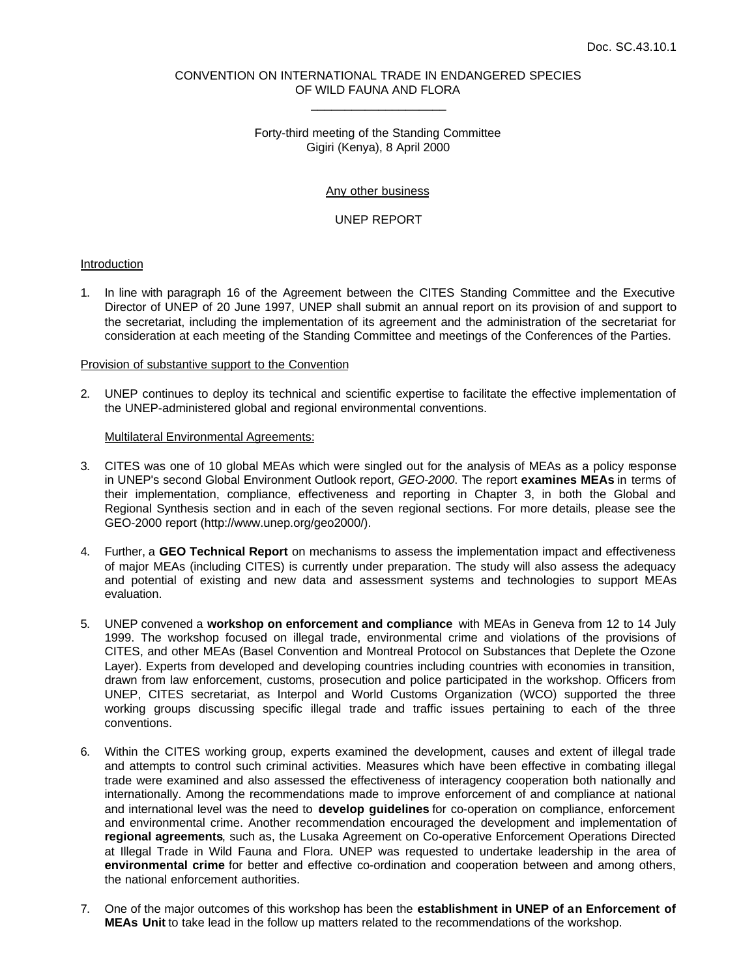# CONVENTION ON INTERNATIONAL TRADE IN ENDANGERED SPECIES OF WILD FAUNA AND FLORA \_\_\_\_\_\_\_\_\_\_\_\_\_\_\_\_\_\_\_\_

# Forty-third meeting of the Standing Committee Gigiri (Kenya), 8 April 2000

### Any other business

## UNEP REPORT

## Introduction

1. In line with paragraph 16 of the Agreement between the CITES Standing Committee and the Executive Director of UNEP of 20 June 1997, UNEP shall submit an annual report on its provision of and support to the secretariat, including the implementation of its agreement and the administration of the secretariat for consideration at each meeting of the Standing Committee and meetings of the Conferences of the Parties.

#### Provision of substantive support to the Convention

2. UNEP continues to deploy its technical and scientific expertise to facilitate the effective implementation of the UNEP-administered global and regional environmental conventions.

#### Multilateral Environmental Agreements:

- 3. CITES was one of 10 global MEAs which were singled out for the analysis of MEAs as a policy response in UNEP's second Global Environment Outlook report, *GEO-2000*. The report **examines MEAs** in terms of their implementation, compliance, effectiveness and reporting in Chapter 3, in both the Global and Regional Synthesis section and in each of the seven regional sections. For more details, please see the GEO-2000 report (http://www.unep.org/geo2000/).
- 4. Further, a **GEO Technical Report** on mechanisms to assess the implementation impact and effectiveness of major MEAs (including CITES) is currently under preparation. The study will also assess the adequacy and potential of existing and new data and assessment systems and technologies to support MEAs evaluation.
- 5. UNEP convened a **workshop on enforcement and compliance** with MEAs in Geneva from 12 to 14 July 1999. The workshop focused on illegal trade, environmental crime and violations of the provisions of CITES, and other MEAs (Basel Convention and Montreal Protocol on Substances that Deplete the Ozone Layer). Experts from developed and developing countries including countries with economies in transition, drawn from law enforcement, customs, prosecution and police participated in the workshop. Officers from UNEP, CITES secretariat, as Interpol and World Customs Organization (WCO) supported the three working groups discussing specific illegal trade and traffic issues pertaining to each of the three conventions.
- 6. Within the CITES working group, experts examined the development, causes and extent of illegal trade and attempts to control such criminal activities. Measures which have been effective in combating illegal trade were examined and also assessed the effectiveness of interagency cooperation both nationally and internationally. Among the recommendations made to improve enforcement of and compliance at national and international level was the need to **develop guidelines** for co-operation on compliance, enforcement and environmental crime. Another recommendation encouraged the development and implementation of **regional agreements**, such as, the Lusaka Agreement on Co-operative Enforcement Operations Directed at Illegal Trade in Wild Fauna and Flora. UNEP was requested to undertake leadership in the area of **environmental crime** for better and effective co-ordination and cooperation between and among others, the national enforcement authorities.
- 7. One of the major outcomes of this workshop has been the **establishment in UNEP of an Enforcement of MEAs Unit** to take lead in the follow up matters related to the recommendations of the workshop.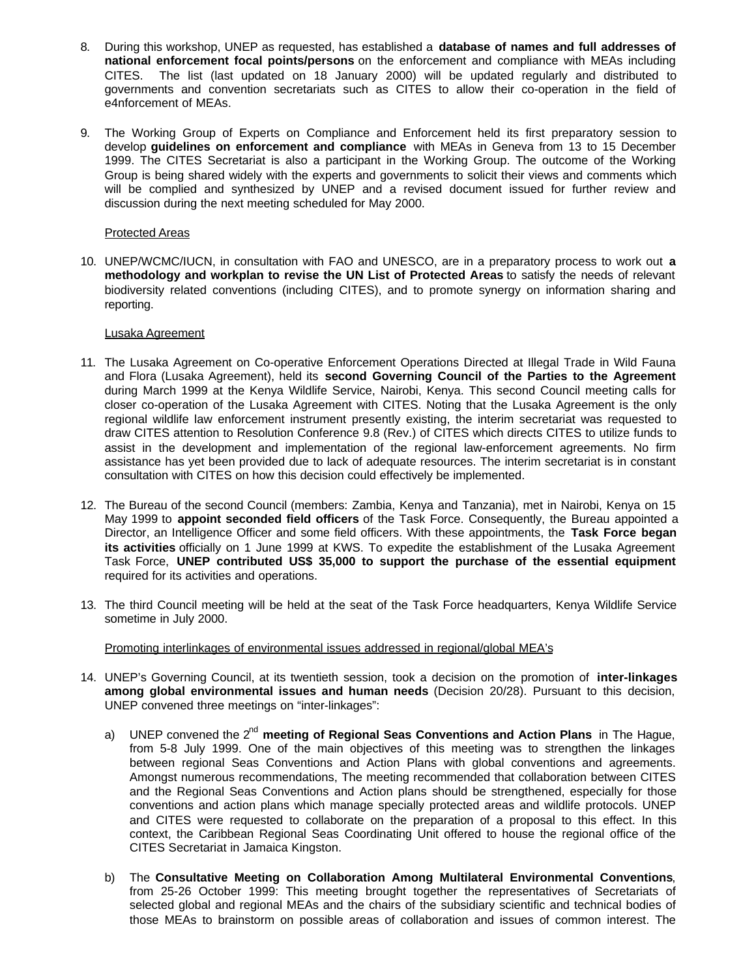- 8. During this workshop, UNEP as requested, has established a **database of names and full addresses of national enforcement focal points/persons** on the enforcement and compliance with MEAs including CITES. The list (last updated on 18 January 2000) will be updated regularly and distributed to governments and convention secretariats such as CITES to allow their co-operation in the field of e4nforcement of MEAs.
- 9. The Working Group of Experts on Compliance and Enforcement held its first preparatory session to develop **guidelines on enforcement and compliance** with MEAs in Geneva from 13 to 15 December 1999. The CITES Secretariat is also a participant in the Working Group. The outcome of the Working Group is being shared widely with the experts and governments to solicit their views and comments which will be complied and synthesized by UNEP and a revised document issued for further review and discussion during the next meeting scheduled for May 2000.

# Protected Areas

10. UNEP/WCMC/IUCN, in consultation with FAO and UNESCO, are in a preparatory process to work out **a methodology and workplan to revise the UN List of Protected Areas** to satisfy the needs of relevant biodiversity related conventions (including CITES), and to promote synergy on information sharing and reporting.

# Lusaka Agreement

- 11. The Lusaka Agreement on Co-operative Enforcement Operations Directed at Illegal Trade in Wild Fauna and Flora (Lusaka Agreement), held its **second Governing Council of the Parties to the Agreement** during March 1999 at the Kenya Wildlife Service, Nairobi, Kenya. This second Council meeting calls for closer co-operation of the Lusaka Agreement with CITES. Noting that the Lusaka Agreement is the only regional wildlife law enforcement instrument presently existing, the interim secretariat was requested to draw CITES attention to Resolution Conference 9.8 (Rev.) of CITES which directs CITES to utilize funds to assist in the development and implementation of the regional law-enforcement agreements. No firm assistance has yet been provided due to lack of adequate resources. The interim secretariat is in constant consultation with CITES on how this decision could effectively be implemented.
- 12. The Bureau of the second Council (members: Zambia, Kenya and Tanzania), met in Nairobi, Kenya on 15 May 1999 to **appoint seconded field officers** of the Task Force. Consequently, the Bureau appointed a Director, an Intelligence Officer and some field officers. With these appointments, the **Task Force began its activities** officially on 1 June 1999 at KWS. To expedite the establishment of the Lusaka Agreement Task Force, **UNEP contributed US\$ 35,000 to support the purchase of the essential equipment** required for its activities and operations.
- 13. The third Council meeting will be held at the seat of the Task Force headquarters, Kenya Wildlife Service sometime in July 2000.

Promoting interlinkages of environmental issues addressed in regional/global MEA's

- 14. UNEP's Governing Council, at its twentieth session, took a decision on the promotion of **inter-linkages among global environmental issues and human needs** (Decision 20/28). Pursuant to this decision, UNEP convened three meetings on "inter-linkages":
	- a) UNEP convened the 2nd **meeting of Regional Seas Conventions and Action Plans** in The Hague, from 5-8 July 1999. One of the main objectives of this meeting was to strengthen the linkages between regional Seas Conventions and Action Plans with global conventions and agreements. Amongst numerous recommendations, The meeting recommended that collaboration between CITES and the Regional Seas Conventions and Action plans should be strengthened, especially for those conventions and action plans which manage specially protected areas and wildlife protocols. UNEP and CITES were requested to collaborate on the preparation of a proposal to this effect. In this context, the Caribbean Regional Seas Coordinating Unit offered to house the regional office of the CITES Secretariat in Jamaica Kingston.
	- b) The **Consultative Meeting on Collaboration Among Multilateral Environmental Conventions**, from 25-26 October 1999: This meeting brought together the representatives of Secretariats of selected global and regional MEAs and the chairs of the subsidiary scientific and technical bodies of those MEAs to brainstorm on possible areas of collaboration and issues of common interest. The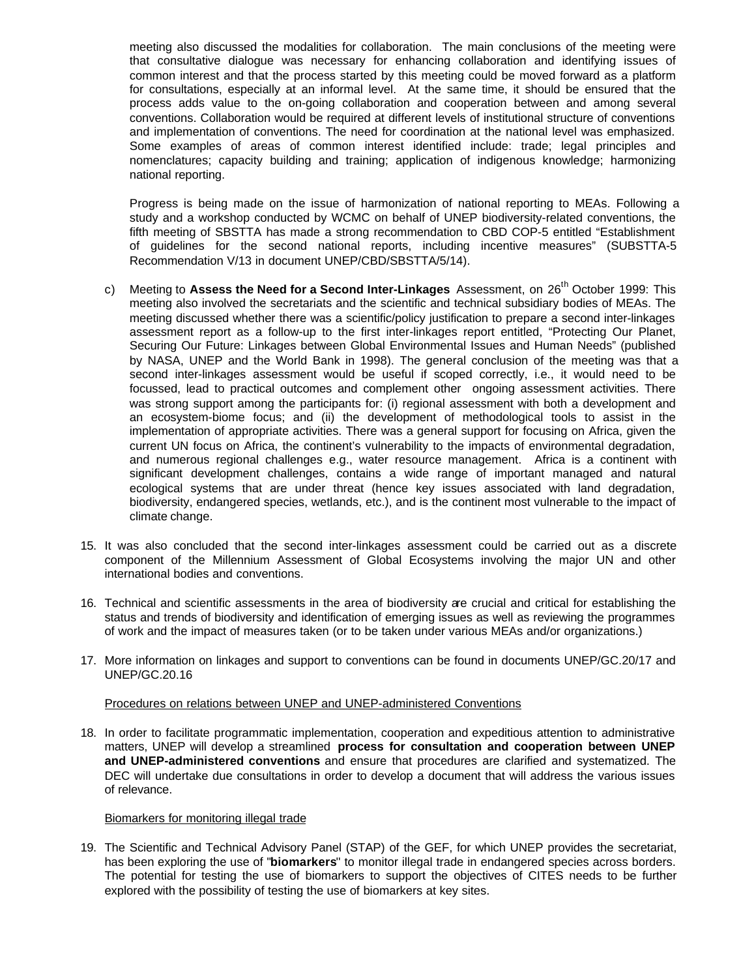meeting also discussed the modalities for collaboration. The main conclusions of the meeting were that consultative dialogue was necessary for enhancing collaboration and identifying issues of common interest and that the process started by this meeting could be moved forward as a platform for consultations, especially at an informal level. At the same time, it should be ensured that the process adds value to the on-going collaboration and cooperation between and among several conventions. Collaboration would be required at different levels of institutional structure of conventions and implementation of conventions. The need for coordination at the national level was emphasized. Some examples of areas of common interest identified include: trade; legal principles and nomenclatures; capacity building and training; application of indigenous knowledge; harmonizing national reporting.

Progress is being made on the issue of harmonization of national reporting to MEAs. Following a study and a workshop conducted by WCMC on behalf of UNEP biodiversity-related conventions, the fifth meeting of SBSTTA has made a strong recommendation to CBD COP-5 entitled "Establishment of guidelines for the second national reports, including incentive measures" (SUBSTTA-5 Recommendation V/13 in document UNEP/CBD/SBSTTA/5/14).

- c) Meeting to **Assess the Need for a Second Inter-Linkages** Assessment, on 26th October 1999: This meeting also involved the secretariats and the scientific and technical subsidiary bodies of MEAs. The meeting discussed whether there was a scientific/policy justification to prepare a second inter-linkages assessment report as a follow-up to the first inter-linkages report entitled, "Protecting Our Planet, Securing Our Future: Linkages between Global Environmental Issues and Human Needs" (published by NASA, UNEP and the World Bank in 1998). The general conclusion of the meeting was that a second inter-linkages assessment would be useful if scoped correctly, i.e., it would need to be focussed, lead to practical outcomes and complement other ongoing assessment activities. There was strong support among the participants for: (i) regional assessment with both a development and an ecosystem-biome focus; and (ii) the development of methodological tools to assist in the implementation of appropriate activities. There was a general support for focusing on Africa, given the current UN focus on Africa, the continent's vulnerability to the impacts of environmental degradation, and numerous regional challenges e.g., water resource management. Africa is a continent with significant development challenges, contains a wide range of important managed and natural ecological systems that are under threat (hence key issues associated with land degradation, biodiversity, endangered species, wetlands, etc.), and is the continent most vulnerable to the impact of climate change.
- 15. It was also concluded that the second inter-linkages assessment could be carried out as a discrete component of the Millennium Assessment of Global Ecosystems involving the major UN and other international bodies and conventions.
- 16. Technical and scientific assessments in the area of biodiversity are crucial and critical for establishing the status and trends of biodiversity and identification of emerging issues as well as reviewing the programmes of work and the impact of measures taken (or to be taken under various MEAs and/or organizations.)
- 17. More information on linkages and support to conventions can be found in documents UNEP/GC.20/17 and UNEP/GC.20.16

### Procedures on relations between UNEP and UNEP-administered Conventions

18. In order to facilitate programmatic implementation, cooperation and expeditious attention to administrative matters, UNEP will develop a streamlined **process for consultation and cooperation between UNEP and UNEP-administered conventions** and ensure that procedures are clarified and systematized. The DEC will undertake due consultations in order to develop a document that will address the various issues of relevance.

### Biomarkers for monitoring illegal trade

19. The Scientific and Technical Advisory Panel (STAP) of the GEF, for which UNEP provides the secretariat, has been exploring the use of ''**biomarkers**'' to monitor illegal trade in endangered species across borders. The potential for testing the use of biomarkers to support the objectives of CITES needs to be further explored with the possibility of testing the use of biomarkers at key sites.